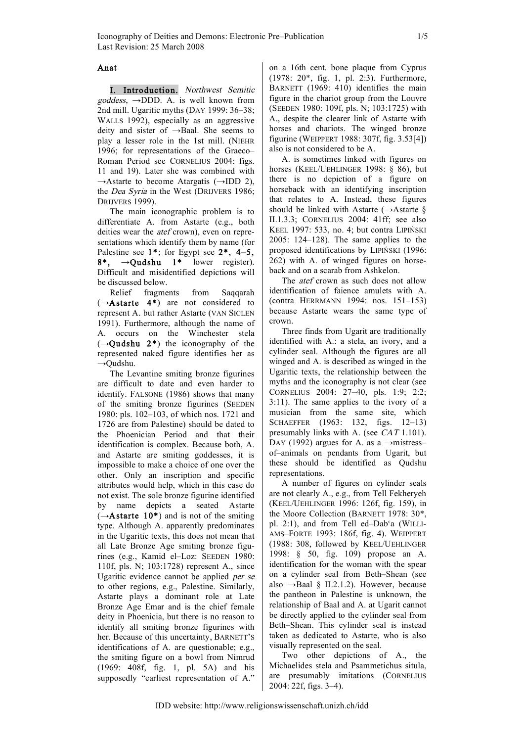## Anat

I. Introduction. Northwest Semitic  $goddess$ ,  $\rightarrow$ DDD. A. is well known from 2nd mill. Ugaritic myths (DAY 1999: 36–38; WALLS 1992), especially as an aggressive deity and sister of →Baal. She seems to play a lesser role in the 1st mill. (NIEHR 1996; for representations of the Graeco– Roman Period see CORNELIUS 2004: figs. 11 and 19). Later she was combined with  $\rightarrow$ Astarte to become Atargatis ( $\rightarrow$ IDD 2), the Dea Syria in the West (DRIJVERS 1986; DRIJVERS 1999).

The main iconographic problem is to differentiate A. from Astarte (e.g., both deities wear the *atef* crown), even on representations which identify them by name (for Palestine see 1\*; for Egypt see 2\*, 4–5,  $8^*$ ,  $\rightarrow$ Qudshu 1\* lower register). Difficult and misidentified depictions will be discussed below.

Relief fragments from Saqqarah  $(\rightarrow A$ starte 4\*) are not considered to represent A. but rather Astarte (VAN SICLEN 1991). Furthermore, although the name of A. occurs on the Winchester stela  $(\rightarrow$ Oudshu 2<sup>\*</sup>) the iconography of the represented naked figure identifies her as →Qudshu.

The Levantine smiting bronze figurines are difficult to date and even harder to identify. FALSONE (1986) shows that many of the smiting bronze figurines (SEEDEN 1980: pls. 102–103, of which nos. 1721 and 1726 are from Palestine) should be dated to the Phoenician Period and that their identification is complex. Because both, A. and Astarte are smiting goddesses, it is impossible to make a choice of one over the other. Only an inscription and specific attributes would help, which in this case do not exist. The sole bronze figurine identified by name depicts a seated Astarte  $(\rightarrow A$ starte 10<sup>\*</sup>) and is not of the smiting type. Although A. apparently predominates in the Ugaritic texts, this does not mean that all Late Bronze Age smiting bronze figurines (e.g., Kamid el–Loz: SEEDEN 1980: 110f, pls. N; 103:1728) represent A., since Ugaritic evidence cannot be applied per se to other regions, e.g., Palestine. Similarly, Astarte plays a dominant role at Late Bronze Age Emar and is the chief female deity in Phoenicia, but there is no reason to identify all smiting bronze figurines with her. Because of this uncertainty, BARNETT'S identifications of A. are questionable; e.g., the smiting figure on a bowl from Nimrud (1969: 408f, fig. 1, pl. 5A) and his supposedly "earliest representation of A."

on a 16th cent. bone plaque from Cyprus (1978: 20\*, fig. 1, pl. 2:3). Furthermore, BARNETT (1969: 410) identifies the main figure in the chariot group from the Louvre (SEEDEN 1980: 109f, pls. N; 103:1725) with A., despite the clearer link of Astarte with horses and chariots. The winged bronze figurine (WEIPPERT 1988: 307f, fig. 3.53[4]) also is not considered to be A.

A. is sometimes linked with figures on horses (KEEL/UEHLINGER 1998: § 86), but there is no depiction of a figure on horseback with an identifying inscription that relates to A. Instead, these figures should be linked with Astarte  $(\rightarrow A)$ starte § II.1.3.3; CORNELIUS 2004: 41ff; see also KEEL 1997: 533, no. 4; but contra LIPIŃSKI 2005: 124–128). The same applies to the proposed identifications by LIPIŃSKI (1996: 262) with A. of winged figures on horseback and on a scarab from Ashkelon.

The *atef* crown as such does not allow identification of faience amulets with A. (contra HERRMANN 1994: nos. 151–153) because Astarte wears the same type of crown.

Three finds from Ugarit are traditionally identified with A.: a stela, an ivory, and a cylinder seal. Although the figures are all winged and A. is described as winged in the Ugaritic texts, the relationship between the myths and the iconography is not clear (see CORNELIUS 2004: 27–40, pls. 1:9; 2:2; 3:11). The same applies to the ivory of a musician from the same site, which SCHAEFFER (1963: 132, figs. 12–13) presumably links with A. (see CAT 1.101). DAY (1992) argues for A. as a  $\rightarrow$ mistress– of–animals on pendants from Ugarit, but these should be identified as Qudshu representations.

A number of figures on cylinder seals are not clearly A., e.g., from Tell Fekheryeh (KEEL/UEHLINGER 1996: 126f, fig. 159), in the Moore Collection (BARNETT 1978: 30\*, pl. 2:1), and from Tell ed–Dab<sup>c</sup>a (WILLI-AMS–FORTE 1993: 186f, fig. 4). WEIPPERT (1988: 308, followed by KEEL/UEHLINGER 1998: § 50, fig. 109) propose an A. identification for the woman with the spear on a cylinder seal from Beth–Shean (see also  $\rightarrow$ Baal § II.2.1.2). However, because the pantheon in Palestine is unknown, the relationship of Baal and A. at Ugarit cannot be directly applied to the cylinder seal from Beth–Shean. This cylinder seal is instead taken as dedicated to Astarte, who is also visually represented on the seal.

Two other depictions of A., the Michaelides stela and Psammetichus situla, are presumably imitations (CORNELIUS 2004: 22f, figs. 3–4).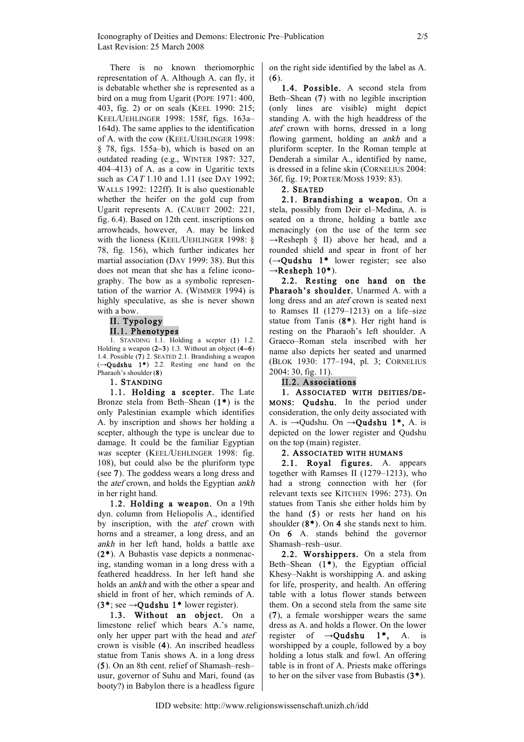There is no known theriomorphic representation of A. Although A. can fly, it is debatable whether she is represented as a bird on a mug from Ugarit (POPE 1971: 400, 403, fig. 2) or on seals (KEEL 1990: 215; KEEL/UEHLINGER 1998: 158f, figs. 163a– 164d). The same applies to the identification of A. with the cow (KEEL/UEHLINGER 1998: § 78, figs. 155a–b), which is based on an outdated reading (e.g., WINTER 1987: 327, 404–413) of A. as a cow in Ugaritic texts such as *CAT* 1.10 and 1.11 (see DAY 1992; WALLS 1992: 122ff). It is also questionable whether the heifer on the gold cup from Ugarit represents A. (CAUBET 2002: 221, fig. 6.4). Based on 12th cent. inscriptions on arrowheads, however, A. may be linked with the lioness (KEEL/UEHLINGER 1998: § 78, fig. 156), which further indicates her martial association (DAY 1999: 38). But this does not mean that she has a feline iconography. The bow as a symbolic representation of the warrior A. (WIMMER 1994) is highly speculative, as she is never shown with a bow.

# II. Typology II.1. Phenotypes

1. STANDING 1.1. Holding a scepter (1) 1.2. Holding a weapon  $(2-3)$  1.3. Without an object  $(4-6)$ 1.4. Possible (7) 2. SEATED 2.1. Brandishing a weapon  $(\rightarrow Qudshu$  1<sup>\*</sup>) 2.2. Resting one hand on the Pharaoh's shoulder (8)

### 1. STANDING

1.1. Holding a scepter. The Late Bronze stela from Beth–Shean (1\*) is the only Palestinian example which identifies A. by inscription and shows her holding a scepter, although the type is unclear due to damage. It could be the familiar Egyptian was scepter (KEEL/UEHLINGER 1998: fig. 108), but could also be the pluriform type (see 7). The goddess wears a long dress and the atef crown, and holds the Egyptian ankh in her right hand.

1.2. Holding a weapon. On a 19th dyn. column from Heliopolis A., identified by inscription, with the atef crown with horns and a streamer, a long dress, and an ankh in her left hand, holds a battle axe (2\*). A Bubastis vase depicts a nonmenacing, standing woman in a long dress with a feathered headdress. In her left hand she holds an ankh and with the other a spear and shield in front of her, which reminds of A. (3\*; see  $\rightarrow$ Qudshu 1\* lower register).

1.3. Without an object. On a limestone relief which bears A.'s name, only her upper part with the head and atef crown is visible (4). An inscribed headless statue from Tanis shows A. in a long dress (5). On an 8th cent. relief of Shamash–resh– usur, governor of Suhu and Mari, found (as booty?) in Babylon there is a headless figure

on the right side identified by the label as A.  $(6)$ .

1.4. Possible. A second stela from Beth–Shean (7) with no legible inscription (only lines are visible) might depict standing A. with the high headdress of the atef crown with horns, dressed in a long flowing garment, holding an ankh and a pluriform scepter. In the Roman temple at Denderah a similar A., identified by name, is dressed in a feline skin (CORNELIUS 2004: 36f, fig. 19; PORTER/MOSS 1939: 83).

### 2. SEATED

2.1. Brandishing a weapon. On a stela, possibly from Deir el–Medina, A. is seated on a throne, holding a battle axe menacingly (on the use of the term see  $\rightarrow$ Resheph § II) above her head, and a rounded shield and spear in front of her  $(\rightarrow$ Qudshu 1<sup>\*</sup> lower register; see also  $\rightarrow$ Resheph 10\*).

2.2. Resting one hand on the Pharaoh's shoulder. Unarmed A. with a long dress and an atef crown is seated next to Ramses II (1279–1213) on a life–size statue from Tanis (8\*). Her right hand is resting on the Pharaoh's left shoulder. A Graeco–Roman stela inscribed with her name also depicts her seated and unarmed (BLOK 1930: 177–194, pl. 3; CORNELIUS 2004: 30, fig. 11).

## II.2. Associations

1. ASSOCIATED WITH DEITIES/DE-MONS: Qudshu. In the period under consideration, the only deity associated with A. is  $\rightarrow$ Qudshu. On  $\rightarrow$ **Qudshu 1\***, A. is depicted on the lower register and Qudshu on the top (main) register.

## 2. ASSOCIATED WITH HUMANS

2.1. Royal figures. A. appears together with Ramses II (1279–1213), who had a strong connection with her (for relevant texts see KITCHEN 1996: 273). On statues from Tanis she either holds him by the hand (5) or rests her hand on his shoulder  $(8^*)$ . On 4 she stands next to him. On 6 A. stands behind the governor Shamash–resh–usur.

2.2. Worshippers. On a stela from Beth–Shean  $(1^*)$ , the Egyptian official Khesy–Nakht is worshipping A. and asking for life, prosperity, and health. An offering table with a lotus flower stands between them. On a second stela from the same site (7), a female worshipper wears the same dress as A. and holds a flower. On the lower register of  $\rightarrow$ **Qudshu** 1<sup>\*</sup>, A. is worshipped by a couple, followed by a boy holding a lotus stalk and fowl. An offering table is in front of A. Priests make offerings to her on the silver vase from Bubastis (3\*).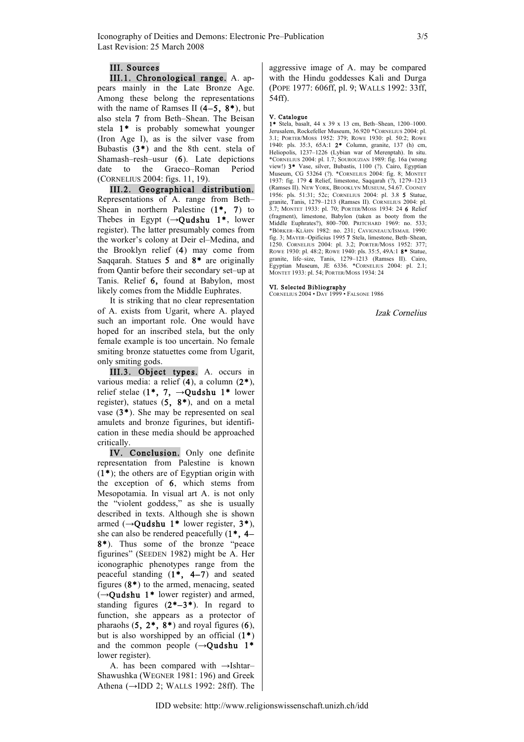### III. Sources

III.1. Chronological range. A. appears mainly in the Late Bronze Age. Among these belong the representations with the name of Ramses II  $(4-5, 8^*)$ , but also stela 7 from Beth–Shean. The Beisan stela 1\* is probably somewhat younger (Iron Age I), as is the silver vase from Bubastis (3\*) and the 8th cent. stela of Shamash–resh–usur (6). Late depictions date to the Graeco–Roman Period (CORNELIUS 2004: figs. 11, 19).

III.2. Geographical distribution. Representations of A. range from Beth– Shean in northern Palestine  $(1^*, 7)$  to Thebes in Egypt  $(\rightarrow$ Oudshu 1<sup>\*</sup>, lower register). The latter presumably comes from the worker's colony at Deir el–Medina, and the Brooklyn relief (4) may come from Saqqarah. Statues 5 and 8\* are originally from Qantir before their secondary set–up at Tanis. Relief 6, found at Babylon, most likely comes from the Middle Euphrates.

It is striking that no clear representation of A. exists from Ugarit, where A. played such an important role. One would have hoped for an inscribed stela, but the only female example is too uncertain. No female smiting bronze statuettes come from Ugarit, only smiting gods.

III.3. Object types. A. occurs in various media: a relief (4), a column (2\*), relief stelae (1\*, 7,  $\rightarrow$ Qudshu 1\* lower register), statues  $(5, 8^*)$ , and on a metal vase (3\*). She may be represented on seal amulets and bronze figurines, but identification in these media should be approached critically.

IV. Conclusion. Only one definite representation from Palestine is known  $(1^*)$ ; the others are of Egyptian origin with the exception of 6, which stems from Mesopotamia. In visual art A. is not only the "violent goddess," as she is usually described in texts. Although she is shown armed ( $\rightarrow$ Qudshu 1\* lower register, 3\*), she can also be rendered peacefully (1\*, 4– 8\*). Thus some of the bronze "peace figurines" (SEEDEN 1982) might be A. Her iconographic phenotypes range from the peaceful standing (1\*, 4–7) and seated figures  $(8^*)$  to the armed, menacing, seated  $(\rightarrow$ Qudshu 1<sup>\*</sup> lower register) and armed, standing figures  $(2*-3*)$ . In regard to function, she appears as a protector of pharaohs  $(5, 2^*, 8^*)$  and royal figures  $(6)$ , but is also worshipped by an official  $(1^*)$ and the common people  $(\rightarrow$ Qudshu 1<sup>\*</sup> lower register).

A. has been compared with  $\rightarrow$ Ishtar– Shawushka (WEGNER 1981: 196) and Greek Athena (→IDD 2; WALLS 1992: 28ff). The aggressive image of A. may be compared with the Hindu goddesses Kali and Durga (POPE 1977: 606ff, pl. 9; WALLS 1992: 33ff, 54ff).

#### V. Catalogue

1\* Stela, basalt, 44 x 39 x 13 cm, Beth–Shean, 1200–1000. Jerusalem, Rockefeller Museum, 36.920 \*CORNELIUS 2004: pl. 3.1; PORTER/MOSS 1952: 379; ROWE 1930: pl. 50:2; ROWE 1940: pls. 35:3, 65A:1 2\* Column, granite, 137 (h) cm, Heliopolis, 1237–1226 (Lybian war of Merenptah). In situ. \*CORNELIUS 2004: pl. 1.7; SOUROUZIAN 1989: fig. 16a (wrong view!) 3\* Vase, silver, Bubastis, 1100 (?). Cairo, Egyptian Museum, CG 53264 (?). \*CORNELIUS 2004: fig. 8; MONTET 1937: fig. 179 4 Relief, limestone, Saqqarah (?), 1279–1213 (Ramses II). NEW YORK, BROOKLYN MUSEUM, 54.67. COONEY 1956: pls. 51:31; 52c; CORNELIUS 2004: pl. 3.8 5 Statue, granite, Tanis, 1279–1213 (Ramses II). CORNELIUS 2004: pl. 3.7; MONTET 1933: pl. 70; PORTER/MOSS 1934: 24 6 Relief (fragment), limestone, Babylon (taken as booty from the Middle Euphrates?), 800–700. PRITCHARD 1969: no. 533; \*BÖRKER–KLÄHN 1982: no. 231; CAVIGNEAUX/ISMAIL 1990: fig. 3; MAYER–Opificius 1995 7 Stela, limestone, Beth–Shean, 1250. CORNELIUS 2004: pl. 3.2; PORTER/MOSS 1952: 377; ROWE 1930: pl. 48:2; ROWE 1940: pls. 35:5, 49A:1 8\* Statue, granite, life–size, Tanis, 1279–1213 (Ramses II). Cairo, Egyptian Museum, JE 6336. \*CORNELIUS 2004: pl. 2.1; MONTET 1933: pl. 54; PORTER/MOSS 1934: 24

#### VI. Selected Bibliography

CORNELIUS 2004 • DAY 1999 • FALSONE 1986

Izak Cornelius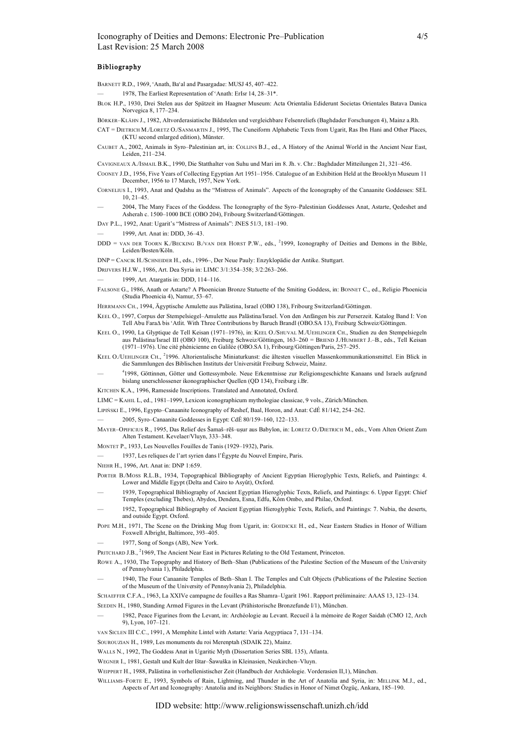#### **Bibliography**

- BARNETT R.D., 1969, 'Anath, Ba'al and Pasargadae: MUSJ 45, 407-422.
- 1978. The Earliest Representation of 'Anath: ErIsr 14, 28–31\*.
- BLOK H.P., 1930, Drei Stelen aus der Spätzeit im Haagner Museum: Acta Orientalia Ediderunt Societas Orientales Batava Danica Norvegica 8, 177–234.
- BÖRKER–KLÄHN J., 1982, Altvorderasiatische Bildstelen und vergleichbare Felsenreliefs (Baghdader Forschungen 4), Mainz a.Rh.
- CAT = DIETRICH M./LORETZ O./SANMARTIN J., 1995, The Cuneiform Alphabetic Texts from Ugarit, Ras Ibn Hani and Other Places, (KTU second enlarged edition), Münster.
- CAUBET A., 2002, Animals in Syro–Palestinian art, in: COLLINS B.J., ed., A History of the Animal World in the Ancient Near East, Leiden, 211–234.
- CAVIGNEAUX A./ISMAIL B.K., 1990, Die Statthalter von Suhu und Mari im 8. Jh. v. Chr.: Baghdader Mitteilungen 21, 321–456.
- COONEY J.D., 1956, Five Years of Collecting Egyptian Art 1951–1956. Catalogue of an Exhibition Held at the Brooklyn Museum 11 December, 1956 to 17 March, 1957, New York.
- CORNELIUS I., 1993, Anat and Qudshu as the "Mistress of Animals". Aspects of the Iconography of the Canaanite Goddesses: SEL 10, 21–45.
- 2004, The Many Faces of the Goddess. The Iconography of the Syro–Palestinian Goddesses Anat, Astarte, Qedeshet and Asherah c. 1500–1000 BCE (OBO 204), Fribourg Switzerland/Göttingen.
- DAY P.L., 1992, Anat: Ugarit's "Mistress of Animals": JNES 51/3, 181–190.
- 1999, Art. Anat in: DDD, 36–43.
- DDD = VAN DER TOORN K./BECKING B./VAN DER HORST P.W., eds., <sup>2</sup>1999, Iconography of Deities and Demons in the Bible, Leiden/Bosten/Köln.
- DNP = CANCIK H./SCHNEIDER H., eds., 1996–, Der Neue Pauly: Enzyklopädie der Antike. Stuttgart.
- DRIJVERS H.J.W., 1986, Art. Dea Syria in: LIMC 3/1:354–358; 3/2:263–266.
- 1999, Art. Atargatis in: DDD, 114–116.
- FALSONE G., 1986, Anath or Astarte? A Phoenician Bronze Statuette of the Smiting Goddess, in: BONNET C., ed., Religio Phoenicia (Studia Phoenicia 4), Namur, 53–67.
- HERRMANN CH., 1994, Ägyptische Amulette aus Palästina, Israel (OBO 138), Fribourg Switzerland/Göttingen.
- KEEL O., 1997, Corpus der Stempelsiegel–Amulette aus Palästina/Israel. Von den Anfängen bis zur Perserzeit. Katalog Band I: Von Tell Abu Fara∆ bis ˓Atlit. With Three Contributions by Baruch Brandl (OBO.SA 13), Freiburg Schweiz/Göttingen.
- KEEL O., 1990, La Glyptique de Tell Keisan (1971–1976), in: KEEL O./SHUVAL M./UEHLINGER CH., Studien zu den Stempelsiegeln aus Palästina/Israel III (OBO 100), Freiburg Schweiz/Göttingen, 163–260 = BRIEND J./HUMBERT J.–B., eds., Tell Keisan (1971–1976). Une cité phénicienne en Galilée (OBO.SA 1), Fribourg/Göttingen/Paris, 257–295.
- KEEL O./UEHLINGER CH., <sup>2</sup>1996. Altorientalische Miniaturkunst: die ältesten visuellen Massenkommunikationsmittel. Ein Blick in die Sammlungen des Biblischen Instituts der Universität Freiburg Schweiz, Mainz.
- <sup>4</sup> 1998, Göttinnen, Götter und Gottessymbole. Neue Erkenntnisse zur Religionsgeschichte Kanaans und Israels aufgrund bislang unerschlossener ikonographischer Quellen (QD 134), Freiburg i.Br.
- KITCHEN K.A., 1996, Ramesside Inscriptions. Translated and Annotated, Oxford.
- LIMC = KAHIL L, ed., 1981–1999, Lexicon iconographicum mythologiae classicae, 9 vols., Zürich/München.
- LIPIŃSKI E., 1996, Egypto–Canaanite Iconography of Reshef, Baal, Horon, and Anat: CdÉ 81/142, 254–262.
- 2005, Syro–Canaanite Goddesses in Egypt: CdÉ 80/159–160, 122–133.
- MAYER–OPIFICIUS R., 1995, Das Relief des Šamaš–rēš–uṣur aus Babylon, in: LORETZ O./DIETRICH M., eds., Vom Alten Orient Zum Alten Testament. Kevelaer/Vluyn, 333–348.
- MONTET P., 1933, Les Nouvelles Fouilles de Tanis (1929–1932), Paris.
- 1937, Les reliques de l'art syrien dans l'Égypte du Nouvel Empire, Paris.
- NIEHR H., 1996, Art. Anat in: DNP 1:659.
- PORTER B./MOSS R.L.B., 1934, Topographical Bibliography of Ancient Egyptian Hieroglyphic Texts, Reliefs, and Paintings: 4. Lower and Middle Egypt (Delta and Cairo to Asyût), Oxford.
- 1939, Topographical Bibliography of Ancient Egyptian Hieroglyphic Texts, Reliefs, and Paintings: 6. Upper Egypt: Chief Temples (excluding Thebes), Abydos, Dendera, Esna, Edfu, Kôm Ombo, and Philae, Oxford.
- 1952, Topographical Bibliography of Ancient Egyptian Hieroglyphic Texts, Reliefs, and Paintings: 7. Nubia, the deserts, and outside Egypt. Oxford.
- POPE M.H., 1971, The Scene on the Drinking Mug from Ugarit, in: GOEDICKE H., ed., Near Eastern Studies in Honor of William Foxwell Albright, Baltimore, 393–405.
- 1977, Song of Songs (AB), New York.
- PRITCHARD J.B., <sup>2</sup>1969, The Ancient Near East in Pictures Relating to the Old Testament, Princeton.
- ROWE A., 1930, The Topography and History of Beth–Shan (Publications of the Palestine Section of the Museum of the University of Pennsylvania 1), Philadelphia.
- 1940, The Four Canaanite Temples of Beth–Shan I. The Temples and Cult Objects (Publications of the Palestine Section of the Museum of the University of Pennsylvania 2), Philadelphia.

SCHAEFFER C.F.A., 1963, La XXIVe campagne de fouilles a Ras Shamra–Ugarit 1961. Rapport préliminaire: AAAS 13, 123–134.

- SEEDEN H., 1980, Standing Armed Figures in the Levant (Prähistorische Bronzefunde I/1), München.
- 1982, Peace Figurines from the Levant, in: Archéologie au Levant. Recueil à la mémoire de Roger Saidah (CMO 12, Arch 9), Lyon, 107–121.
- VAN SICLEN III C.C., 1991, A Memphite Lintel with Astarte: Varia Aegyptiaca 7, 131–134.
- SOUROUZIAN H., 1989, Les monuments du roi Merenptah (SDAIK 22), Mainz.
- WALLS N., 1992, The Goddess Anat in Ugaritic Myth (Dissertation Series SBL 135), Atlanta.
- WEGNER I., 1981, Gestalt und Kult der Ištar–Šawuška in Kleinasien, Neukirchen–Vluyn.
- WEIPPERT H., 1988, Palästina in vorhellenistischer Zeit (Handbuch der Archäologie. Vorderasien II,1), München.
- WILLIAMS–FORTE E., 1993, Symbols of Rain, Lightning, and Thunder in the Art of Anatolia and Syria, in: MELLINK M.J., ed., Aspects of Art and Iconography: Anatolia and its Neighbors: Studies in Honor of Nimet Özgüç, Ankara, 185–190.